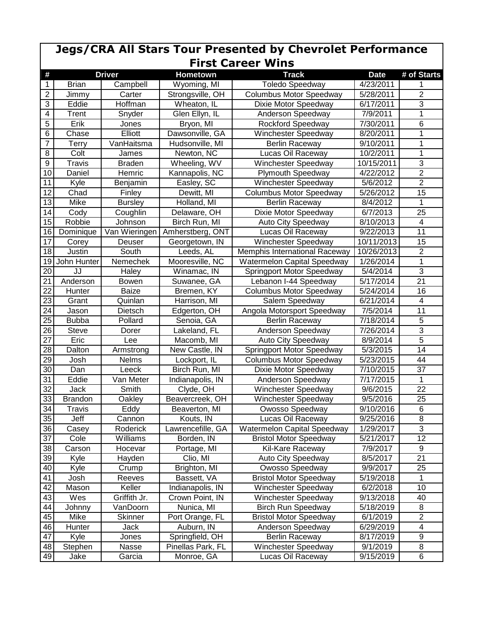| <b>Jegs/CRA All Stars Tour Presented by Chevrolet Performance</b><br><b>First Career Wins</b> |                |                        |                            |                                                 |                        |                         |  |  |  |  |
|-----------------------------------------------------------------------------------------------|----------------|------------------------|----------------------------|-------------------------------------------------|------------------------|-------------------------|--|--|--|--|
| #                                                                                             |                | <b>Driver</b>          | <b>Hometown</b>            | <b>Track</b>                                    | <b>Date</b>            | # of Starts             |  |  |  |  |
| 1                                                                                             | <b>Brian</b>   | Campbell               | Wyoming, MI                | <b>Toledo Speedway</b>                          | 4/23/2011              | 1                       |  |  |  |  |
| $\overline{2}$                                                                                | Jimmy          | Carter                 | Strongsville, OH           | <b>Columbus Motor Speedway</b>                  | 5/28/2011              | $\overline{2}$          |  |  |  |  |
| $\overline{3}$                                                                                | Eddie          | Hoffman                | Wheaton, IL                | Dixie Motor Speedway                            | 6/17/2011              | 3                       |  |  |  |  |
| $\overline{\mathbf{4}}$                                                                       | Trent          | Snyder                 | Glen Ellyn, IL             | Anderson Speedway                               | 7/9/2011               | 1                       |  |  |  |  |
| 5                                                                                             | Erik           | Jones                  | Bryon, MI                  | Rockford Speedway                               | 7/30/2011              | 6                       |  |  |  |  |
| $\overline{6}$                                                                                | Chase          | Elliott                | Dawsonville, GA            | <b>Winchester Speedway</b>                      | 8/20/2011              | 1                       |  |  |  |  |
| $\overline{7}$                                                                                | Terry          | VanHaitsma             | Hudsonville, MI            | <b>Berlin Raceway</b>                           | $\frac{1}{9}$ /10/2011 | 1                       |  |  |  |  |
| 8                                                                                             | Colt           |                        |                            |                                                 | 10/2/2011              | 1                       |  |  |  |  |
| $\boldsymbol{9}$                                                                              | <b>Travis</b>  | James<br><b>Braden</b> | Newton, NC<br>Wheeling, WV | Lucas Oil Raceway<br>Winchester Speedway        | 10/15/2011             | 3                       |  |  |  |  |
| 10                                                                                            | Daniel         | Hemric                 |                            |                                                 | $\sqrt{4}/22/2012$     | $\overline{2}$          |  |  |  |  |
| 11                                                                                            |                |                        | Kannapolis, NC             | <b>Plymouth Speedway</b><br>Winchester Speedway |                        | $\overline{2}$          |  |  |  |  |
|                                                                                               | Kyle           | Benjamin               | Easley, SC                 |                                                 | 5/6/2012               |                         |  |  |  |  |
| 12                                                                                            | Chad           | Finley                 | Dewitt, MI                 | <b>Columbus Motor Speedway</b>                  | 5/26/2012              | 15                      |  |  |  |  |
| 13                                                                                            | Mike           | <b>Bursley</b>         | Holland, MI                | <b>Berlin Raceway</b>                           | 8/4/2012               | 1                       |  |  |  |  |
| 14                                                                                            | Cody           | Coughlin               | Delaware, OH               | Dixie Motor Speedway                            | 6/7/2013               | 25                      |  |  |  |  |
| 15                                                                                            | Robbie         | Johnson                | Birch Run, MI              | Auto City Speedway                              | 8/10/2013              | $\overline{\mathbf{4}}$ |  |  |  |  |
| 16                                                                                            | Dominique      | Van Wieringen          | Amherstberg, ONT           | Lucas Oil Raceway                               | 9/22/2013              | 11                      |  |  |  |  |
| 17                                                                                            | Corey          | Deuser                 | Georgetown, IN             | <b>Winchester Speedway</b>                      | 10/11/2013             | 15                      |  |  |  |  |
| 18                                                                                            | Justin         | South                  | Leeds, AL                  | Memphis International Raceway                   | 10/26/2013             | $\overline{2}$          |  |  |  |  |
| 19                                                                                            | John Hunter    | Nemechek               | Mooresville, NC            | <b>Watermelon Capital Speedway</b>              | 1/26/2014              | $\mathbf{1}$            |  |  |  |  |
| 20                                                                                            | JJ             | Haley                  | Winamac, IN                | Springport Motor Speedway                       | 5/4/2014               | 3                       |  |  |  |  |
| 21                                                                                            | Anderson       | <b>Bowen</b>           | Suwanee, GA                | Lebanon I-44 Speedway                           | $\overline{5}/17/2014$ | 21                      |  |  |  |  |
| 22                                                                                            | Hunter         | Baize                  | Bremen, KY                 | <b>Columbus Motor Speedway</b>                  | 5/24/2014              | 16                      |  |  |  |  |
| 23                                                                                            | Grant          | Quinlan                | Harrison, MI               | Salem Speedway                                  | 6/21/2014              | 4                       |  |  |  |  |
| 24                                                                                            | Jason          | Dietsch                | Edgerton, OH               | Angola Motorsport Speedway                      | 7/5/2014               | 11                      |  |  |  |  |
| 25                                                                                            | <b>Bubba</b>   | Pollard                | Senoia, GA                 | Berlin Raceway                                  | 7/18/2014              | 5                       |  |  |  |  |
| 26                                                                                            | <b>Steve</b>   | Dorer                  | Lakeland, FL               | Anderson Speedway                               | 7/26/2014              | 3                       |  |  |  |  |
| 27                                                                                            | Eric           | Lee                    | Macomb, MI                 | Auto City Speedway                              | 8/9/2014               | $\overline{5}$          |  |  |  |  |
| 28                                                                                            | Dalton         | Armstrong              | New Castle, IN             | Springport Motor Speedway                       | 5/3/2015               | 14                      |  |  |  |  |
| 29                                                                                            | Josh           | Nelms                  | Lockport, IL               | <b>Columbus Motor Speedway</b>                  | 5/23/2015              | 44                      |  |  |  |  |
| 30                                                                                            | Dan            | Leeck                  | Birch Run, MI              | Dixie Motor Speedway                            | 7/10/2015              | 37                      |  |  |  |  |
| $\overline{31}$                                                                               | Eddie          | Van Meter              | Indianapolis, IN           | Anderson Speedway                               | 7/17/2015              | 1                       |  |  |  |  |
| $\overline{32}$                                                                               | Jack           | Smith                  | Clyde, OH                  | Winchester Speedway                             | 9/6/2015               | $\overline{22}$         |  |  |  |  |
| 33                                                                                            | <b>Brandon</b> | Oakley                 | Beavercreek, OH            | Winchester Speedway                             | 9/5/2016               | 25                      |  |  |  |  |
| 34                                                                                            | Travis         | Eddy                   | Beaverton, MI              | Owosso Speedway                                 | 9/10/2016              | 6                       |  |  |  |  |
| 35                                                                                            | Jeff           | Cannon                 | Kouts, IN                  | Lucas Oil Raceway                               | 9/25/2016              | $\overline{8}$          |  |  |  |  |
| 36                                                                                            | Casey          | Roderick               | Lawrencefille, GA          | Watermelon Capital Speedway                     | 1/29/2017              | 3                       |  |  |  |  |
| 37                                                                                            | Cole           | Williams               | Borden, IN                 | <b>Bristol Motor Speedway</b>                   | 5/21/2017              | 12                      |  |  |  |  |
| 38                                                                                            | Carson         | Hocevar                | Portage, MI                | Kil-Kare Raceway                                | 7/9/2017               | 9                       |  |  |  |  |
| 39                                                                                            | Kyle           | Hayden                 | Clio, MI                   | Auto City Speedway                              | 8/5/2017               | 21                      |  |  |  |  |
| 40                                                                                            | Kyle           | Crump                  | Brighton, MI               | Owosso Speedway                                 | 9/9/2017               | 25                      |  |  |  |  |
| 41                                                                                            | Josh           | Reeves                 | Bassett, VA                | <b>Bristol Motor Speedway</b>                   | 5/19/2018              | 1                       |  |  |  |  |
| 42                                                                                            | Mason          | Keller                 | Indianapolis, IN           | Winchester Speedway                             | 6/2/2018               | 10                      |  |  |  |  |
| 43                                                                                            | Wes            | Griffith Jr.           | Crown Point, IN            | Winchester Speedway                             | 9/13/2018              | 40                      |  |  |  |  |
| 44                                                                                            | Johnny         | VanDoorn               | Nunica, MI                 | <b>Birch Run Speedway</b>                       | 5/18/2019              | 8                       |  |  |  |  |
| 45                                                                                            | Mike           | Skinner                | Port Orange, FL            | <b>Bristol Motor Speedway</b>                   | 6/1/2019               | $\overline{2}$          |  |  |  |  |
| 46                                                                                            | Hunter         | Jack                   | Auburn, IN                 | Anderson Speedway                               | 6/29/2019              | $\overline{\mathbf{4}}$ |  |  |  |  |
| 47                                                                                            | Kyle           | Jones                  | Springfield, OH            | <b>Berlin Raceway</b>                           | 8/17/2019              | 9                       |  |  |  |  |
| 48                                                                                            | Stephen        | Nasse                  | Pinellas Park, FL          | Winchester Speedway                             | 9/1/2019               | 8                       |  |  |  |  |
| 49                                                                                            | Jake           | Garcia                 | Monroe, GA                 | Lucas Oil Raceway                               | 9/15/2019              | 6                       |  |  |  |  |